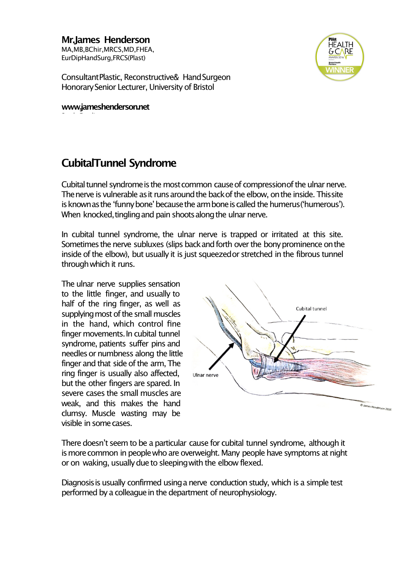**Mr.James Henderson** MA,MB,BChir,MRCS,MD,FHEA, EurDipHandSurg,FRCS(Plast)



ConsultantPlastic, Reconstructive& HandSurgeon HonorarySenior Lecturer, University of Bristol

**www.jameshenderson.net**

## **CubitalTunnel Syndrome**

Cubital tunnel syndrome is the most common cause of compression of the ulnar nerve. The nerve is vulnerable as it runs around the back of the elbow, on the inside. This site is known as the 'funny bone' because the arm bone is called the humerus('humerous'). When knocked, tingling and pain shoots along the ulnar nerve.

In cubital tunnel syndrome, the ulnar nerve is trapped or irritated at this site. Sometimes the nerve subluxes (slips back and forth over the bony prominence on the inside of the elbow), but usually it is just squeezedor stretched in the fibrous tunnel throughwhich it runs.

The ulnar nerve supplies sensation to the little finger, and usually to half of the ring finger, as well as supplying most of the small muscles in the hand, which control fine finger movements.In cubital tunnel syndrome, patients suffer pins and needles or numbness along the little finger and that side of the arm, The ring finger is usually also affected, but the other fingers are spared. In severe cases the small muscles are weak, and this makes the hand clumsy. Muscle wasting may be visible in somecases.



There doesn't seem to be a particular cause for cubital tunnel syndrome, although it is more common in people who are overweight. Many people have symptoms at night or on waking, usually due to sleeping with the elbow flexed.

Diagnosisis usually confirmed usinga nerve conduction study, which is a simple test performed by a colleague in the department of neurophysiology.